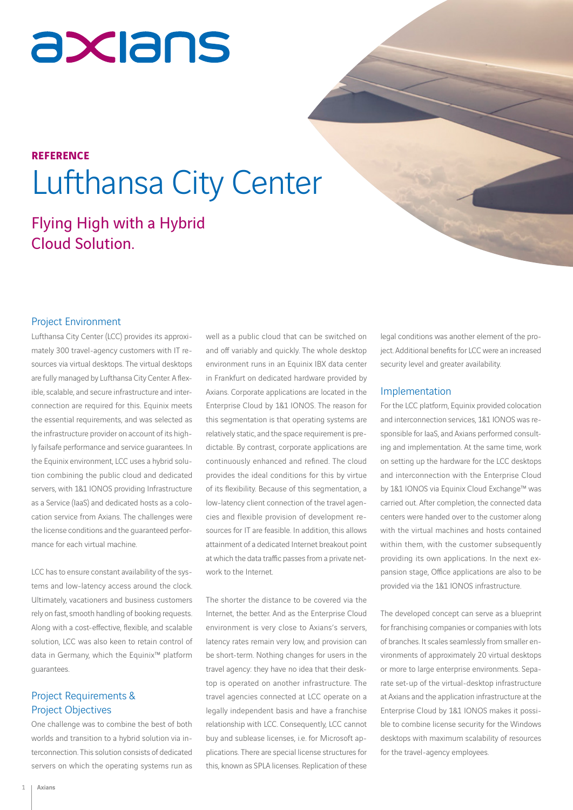# axians

### **REFERENCE** Lufthansa City Center

### Flying High with a Hybrid Cloud Solution.

### Project Environment

Lufthansa City Center (LCC) provides its approximately 300 travel-agency customers with IT resources via virtual desktops. The virtual desktops are fully managed by Lufthansa City Center. A flexible, scalable, and secure infrastructure and interconnection are required for this. Equinix meets the essential requirements, and was selected as the infrastructure provider on account of its highly failsafe performance and service guarantees. In the Equinix environment, LCC uses a hybrid solution combining the public cloud and dedicated servers, with 1&1 IONOS providing Infrastructure as a Service (IaaS) and dedicated hosts as a colocation service from Axians. The challenges were the license conditions and the guaranteed performance for each virtual machine.

LCC has to ensure constant availability of the systems and low-latency access around the clock. Ultimately, vacationers and business customers rely on fast, smooth handling of booking requests. Along with a cost-effective, flexible, and scalable solution, LCC was also keen to retain control of data in Germany, which the Equinix™ platform guarantees.

### Project Requirements & Project Objectives

One challenge was to combine the best of both worlds and transition to a hybrid solution via interconnection. This solution consists of dedicated servers on which the operating systems run as well as a public cloud that can be switched on and off variably and quickly. The whole desktop environment runs in an Equinix IBX data center in Frankfurt on dedicated hardware provided by Axians. Corporate applications are located in the Enterprise Cloud by 1&1 IONOS. The reason for this segmentation is that operating systems are relatively static, and the space requirement is predictable. By contrast, corporate applications are continuously enhanced and refined. The cloud provides the ideal conditions for this by virtue of its flexibility. Because of this segmentation, a low-latency client connection of the travel agencies and flexible provision of development resources for IT are feasible. In addition, this allows attainment of a dedicated Internet breakout point at which the data traffic passes from a private network to the Internet.

The shorter the distance to be covered via the Internet, the better. And as the Enterprise Cloud environment is very close to Axians's servers, latency rates remain very low, and provision can be short-term. Nothing changes for users in the travel agency: they have no idea that their desktop is operated on another infrastructure. The travel agencies connected at LCC operate on a legally independent basis and have a franchise relationship with LCC. Consequently, LCC cannot buy and sublease licenses, i.e. for Microsoft applications. There are special license structures for this, known as SPLA licenses. Replication of these

legal conditions was another element of the project. Additional benefits for LCC were an increased security level and greater availability.

#### Implementation

For the LCC platform, Equinix provided colocation and interconnection services, 1&1 IONOS was responsible for IaaS, and Axians performed consulting and implementation. At the same time, work on setting up the hardware for the LCC desktops and interconnection with the Enterprise Cloud by 1&1 IONOS via Equinix Cloud Exchange™ was carried out. After completion, the connected data centers were handed over to the customer along with the virtual machines and hosts contained within them, with the customer subsequently providing its own applications. In the next expansion stage, Office applications are also to be provided via the 1&1 IONOS infrastructure.

The developed concept can serve as a blueprint for franchising companies or companies with lots of branches. It scales seamlessly from smaller environments of approximately 20 virtual desktops or more to large enterprise environments. Separate set-up of the virtual-desktop infrastructure at Axians and the application infrastructure at the Enterprise Cloud by 1&1 IONOS makes it possible to combine license security for the Windows desktops with maximum scalability of resources for the travel-agency employees.